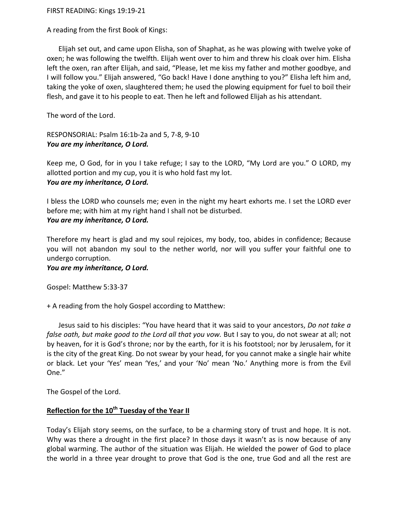A reading from the first Book of Kings:

 Elijah set out, and came upon Elisha, son of Shaphat, as he was plowing with twelve yoke of oxen; he was following the twelfth. Elijah went over to him and threw his cloak over him. Elisha left the oxen, ran after Elijah, and said, "Please, let me kiss my father and mother goodbye, and I will follow you." Elijah answered, "Go back! Have I done anything to you?" Elisha left him and, taking the yoke of oxen, slaughtered them; he used the plowing equipment for fuel to boil their flesh, and gave it to his people to eat. Then he left and followed Elijah as his attendant.

The word of the Lord.

RESPONSORIAL: Psalm 16:1b‐2a and 5, 7‐8, 9‐10 *You are my inheritance, O Lord.* 

Keep me, O God, for in you I take refuge; I say to the LORD, "My Lord are you." O LORD, my allotted portion and my cup, you it is who hold fast my lot. *You are my inheritance, O Lord.* 

I bless the LORD who counsels me; even in the night my heart exhorts me. I set the LORD ever before me; with him at my right hand I shall not be disturbed. *You are my inheritance, O Lord.* 

Therefore my heart is glad and my soul rejoices, my body, too, abides in confidence; Because you will not abandon my soul to the nether world, nor will you suffer your faithful one to undergo corruption.

## *You are my inheritance, O Lord.*

Gospel: Matthew 5:33‐37

+ A reading from the holy Gospel according to Matthew:

 Jesus said to his disciples: "You have heard that it was said to your ancestors, *Do not take a*  false oath, but make good to the Lord all that you vow. But I say to you, do not swear at all; not by heaven, for it is God's throne; nor by the earth, for it is his footstool; nor by Jerusalem, for it is the city of the great King. Do not swear by your head, for you cannot make a single hair white or black. Let your 'Yes' mean 'Yes,' and your 'No' mean 'No.' Anything more is from the Evil One."

The Gospel of the Lord.

## **Reflection for the 10<sup>th</sup> Tuesday of the Year II**

Today's Elijah story seems, on the surface, to be a charming story of trust and hope. It is not. Why was there a drought in the first place? In those days it wasn't as is now because of any global warming. The author of the situation was Elijah. He wielded the power of God to place the world in a three year drought to prove that God is the one, true God and all the rest are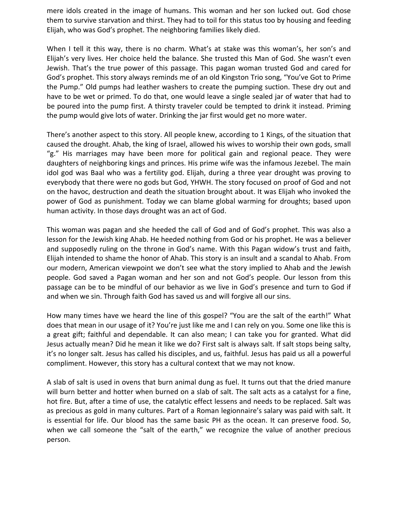mere idols created in the image of humans. This woman and her son lucked out. God chose them to survive starvation and thirst. They had to toil for this status too by housing and feeding Elijah, who was God's prophet. The neighboring families likely died.

When I tell it this way, there is no charm. What's at stake was this woman's, her son's and Elijah's very lives. Her choice held the balance. She trusted this Man of God. She wasn't even Jewish. That's the true power of this passage. This pagan woman trusted God and cared for God's prophet. This story always reminds me of an old Kingston Trio song, "You've Got to Prime the Pump." Old pumps had leather washers to create the pumping suction. These dry out and have to be wet or primed. To do that, one would leave a single sealed jar of water that had to be poured into the pump first. A thirsty traveler could be tempted to drink it instead. Priming the pump would give lots of water. Drinking the jar first would get no more water.

There's another aspect to this story. All people knew, according to 1 Kings, of the situation that caused the drought. Ahab, the king of Israel, allowed his wives to worship their own gods, small "g." His marriages may have been more for political gain and regional peace. They were daughters of neighboring kings and princes. His prime wife was the infamous Jezebel. The main idol god was Baal who was a fertility god. Elijah, during a three year drought was proving to everybody that there were no gods but God, YHWH. The story focused on proof of God and not on the havoc, destruction and death the situation brought about. It was Elijah who invoked the power of God as punishment. Today we can blame global warming for droughts; based upon human activity. In those days drought was an act of God.

This woman was pagan and she heeded the call of God and of God's prophet. This was also a lesson for the Jewish king Ahab. He heeded nothing from God or his prophet. He was a believer and supposedly ruling on the throne in God's name. With this Pagan widow's trust and faith, Elijah intended to shame the honor of Ahab. This story is an insult and a scandal to Ahab. From our modern, American viewpoint we don't see what the story implied to Ahab and the Jewish people. God saved a Pagan woman and her son and not God's people. Our lesson from this passage can be to be mindful of our behavior as we live in God's presence and turn to God if and when we sin. Through faith God has saved us and will forgive all our sins.

How many times have we heard the line of this gospel? "You are the salt of the earth!" What does that mean in our usage of it? You're just like me and I can rely on you. Some one like this is a great gift; faithful and dependable. It can also mean; I can take you for granted. What did Jesus actually mean? Did he mean it like we do? First salt is always salt. If salt stops being salty, it's no longer salt. Jesus has called his disciples, and us, faithful. Jesus has paid us all a powerful compliment. However, this story has a cultural context that we may not know.

A slab of salt is used in ovens that burn animal dung as fuel. It turns out that the dried manure will burn better and hotter when burned on a slab of salt. The salt acts as a catalyst for a fine, hot fire. But, after a time of use, the catalytic effect lessens and needs to be replaced. Salt was as precious as gold in many cultures. Part of a Roman legionnaire's salary was paid with salt. It is essential for life. Our blood has the same basic PH as the ocean. It can preserve food. So, when we call someone the "salt of the earth," we recognize the value of another precious person.